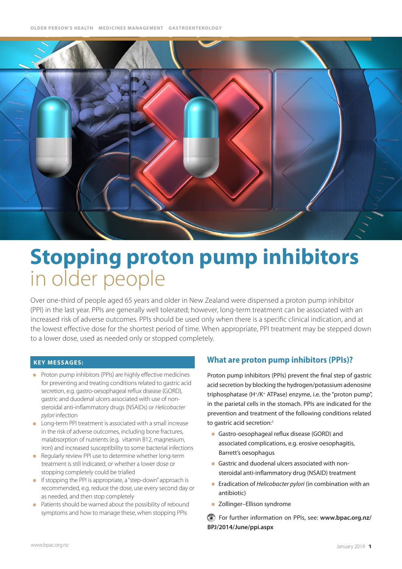

# **Stopping proton pump inhibitors**  in older people

Over one-third of people aged 65 years and older in New Zealand were dispensed a proton pump inhibitor (PPI) in the last year. PPIs are generally well tolerated; however, long-term treatment can be associated with an increased risk of adverse outcomes. PPIs should be used only when there is a specific clinical indication, and at the lowest effective dose for the shortest period of time. When appropriate, PPI treatment may be stepped down to a lower dose, used as needed only or stopped completely.

#### **Key MESSAGES:**

- **Proton pump inhibitors (PPIs) are highly effective medicines** for preventing and treating conditions related to gastric acid secretion, e.g. gastro-oesophageal reflux disease (GORD), gastric and duodenal ulcers associated with use of nonsteroidal anti-inflammatory drugs (NSAIDs) or *Helicobacter pylori* infection
- **Long-term PPI treatment is associated with a small increase** in the risk of adverse outcomes, including bone fractures, malabsorption of nutrients (e.g. vitamin B12, magnesium, iron) and increased susceptibility to some bacterial infections
- Regularly review PPI use to determine whether long-term  $\sim$ treatment is still indicated, or whether a lower dose or stopping completely could be trialled
- **If stopping the PPI is appropriate, a "step-down" approach is** recommended, e.g. reduce the dose, use every second day or as needed, and then stop completely
- Patients should be warned about the possibility of rebound symptoms and how to manage these, when stopping PPIs

## **What are proton pump inhibitors (PPIs)?**

Proton pump inhibitors (PPIs) prevent the final step of gastric acid secretion by blocking the hydrogen/potassium adenosine triphosphatase (H+/K+ ATPase) enzyme, i.e. the "proton pump", in the parietal cells in the stomach. PPIs are indicated for the prevention and treatment of the following conditions related to gastric acid secretion:<sup>1</sup>

- Gastro-oesophageal reflux disease (GORD) and associated complications, e.g. erosive oesophagitis, Barrett's oesophagus
- Gastric and duodenal ulcers associated with nonsteroidal anti-inflammatory drug (NSAID) treatment
- **Exadication of** *Helicobacter pylori* (in combination with an antibiotic)
- **zollinger-Ellison syndrome**

For further information on PPIs, see: **[www.bpac.org.nz/](www.bpac.org.nz/BPJ/2014/June/ppi.aspx) [BPJ/2014/June/ppi.aspx](www.bpac.org.nz/BPJ/2014/June/ppi.aspx)**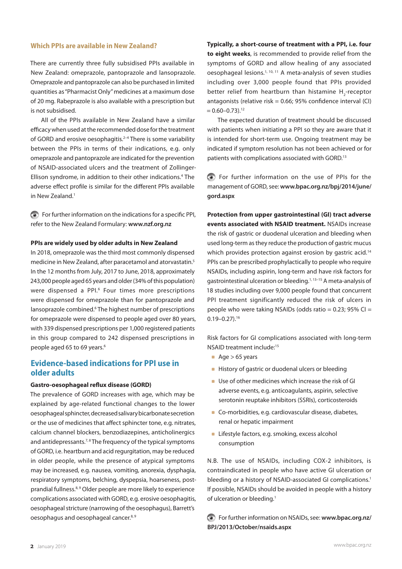#### **Which PPIs are available in New Zealand?**

There are currently three fully subsidised PPIs available in New Zealand: omeprazole, pantoprazole and lansoprazole. Omeprazole and pantoprazole can also be purchased in limited quantities as "Pharmacist Only" medicines at a maximum dose of 20 mg. Rabeprazole is also available with a prescription but is not subsidised.

All of the PPIs available in New Zealand have a similar efficacy when used at the recommended dose for the treatment of GORD and erosive oesophagitis.<sup>2-4</sup> There is some variability between the PPIs in terms of their indications, e.g. only omeprazole and pantoprazole are indicated for the prevention of NSAID-associated ulcers and the treatment of Zollinger-Ellison syndrome, in addition to their other indications.<sup>4</sup> The adverse effect profile is similar for the different PPIs available in New Zealand.<sup>1</sup>

For further information on the indications for a specific PPI, refer to the New Zealand Formulary: **<www.nzf.org.nz>**

#### **PPIs are widely used by older adults in New Zealand**

In 2018, omeprazole was the third most commonly dispensed medicine in New Zealand, after paracetamol and atorvastatin.5 In the 12 months from July, 2017 to June, 2018, approximately 243,000 people aged 65 years and older (34% of this population) were dispensed a PPI.<sup>6</sup> Four times more prescriptions were dispensed for omeprazole than for pantoprazole and lansoprazole combined.<sup>6</sup> The highest number of prescriptions for omeprazole were dispensed to people aged over 80 years, with 339 dispensed prescriptions per 1,000 registered patients in this group compared to 242 dispensed prescriptions in people aged 65 to 69 years.<sup>6</sup>

## **Evidence-based indications for PPI use in older adults**

#### **Gastro-oesophageal reflux disease (GORD)**

The prevalence of GORD increases with age, which may be explained by age-related functional changes to the lower oesophageal sphincter, decreased salivary bicarbonate secretion or the use of medicines that affect sphincter tone, e.g. nitrates, calcium channel blockers, benzodiazepines, anticholinergics and antidepressants.<sup> $7,8$ </sup> The frequency of the typical symptoms of GORD, i.e. heartburn and acid regurgitation, may be reduced in older people, while the presence of atypical symptoms may be increased, e.g. nausea, vomiting, anorexia, dysphagia, respiratory symptoms, belching, dyspepsia, hoarseness, postprandial fullness.<sup>8,9</sup> Older people are more likely to experience complications associated with GORD, e.g. erosive oesophagitis, oesophageal stricture (narrowing of the oesophagus), Barrett's oesophagus and oesophageal cancer.<sup>8, 9</sup>

**Typically, a short-course of treatment with a PPI, i.e. four to eight weeks**, is recommended to provide relief from the symptoms of GORD and allow healing of any associated oesophageal lesions.1, 10, 11 A meta-analysis of seven studies including over 3,000 people found that PPIs provided better relief from heartburn than histamine  $H_2$ -receptor antagonists (relative risk =  $0.66$ ; 95% confidence interval (CI)  $= 0.60 - 0.73$ ).<sup>12</sup>

The expected duration of treatment should be discussed with patients when initiating a PPI so they are aware that it is intended for short-term use. Ongoing treatment may be indicated if symptom resolution has not been achieved or for patients with complications associated with GORD.<sup>13</sup>

For further information on the use of PPIs for the management of GORD, see: **[www.bpac.org.nz/bpj/2014/june/](www.bpac.org.nz/bpj/2014/june/gord.aspx) [gord.aspx](www.bpac.org.nz/bpj/2014/june/gord.aspx)**

**Protection from upper gastrointestinal (GI) tract adverse events associated with NSAID treatment.** NSAIDs increase the risk of gastric or duodenal ulceration and bleeding when used long-term as they reduce the production of gastric mucus which provides protection against erosion by gastric acid.<sup>14</sup> PPIs can be prescribed prophylactically to people who require NSAIDs, including aspirin, long-term and have risk factors for gastrointestinal ulceration or bleeding.1, 13–15 A meta-analysis of 18 studies including over 9,000 people found that concurrent PPI treatment significantly reduced the risk of ulcers in people who were taking NSAIDs (odds ratio =  $0.23$ ; 95% CI = 0.19–0.27).16

Risk factors for GI complications associated with long-term NSAID treatment include:15

- Age  $> 65$  years
- **History of gastric or duodenal ulcers or bleeding**
- Use of other medicines which increase the risk of GI adverse events, e.g. anticoagulants, aspirin, selective serotonin reuptake inhibitors (SSRIs), corticosteroids
- **Co-morbidities, e.g. cardiovascular disease, diabetes,** renal or hepatic impairment
- **Lifestyle factors, e.g. smoking, excess alcohol** consumption

N.B. The use of NSAIDs, including COX-2 inhibitors, is contraindicated in people who have active GI ulceration or bleeding or a history of NSAID-associated GI complications.<sup>1</sup> If possible, NSAIDs should be avoided in people with a history of ulceration or bleeding.<sup>1</sup>

For further information on NSAIDs, see: **[www.bpac.org.nz/](www.bpac.org.nz/BPJ/2013/October/nsaids.aspx) [BPJ/2013/October/nsaids.aspx](www.bpac.org.nz/BPJ/2013/October/nsaids.aspx)**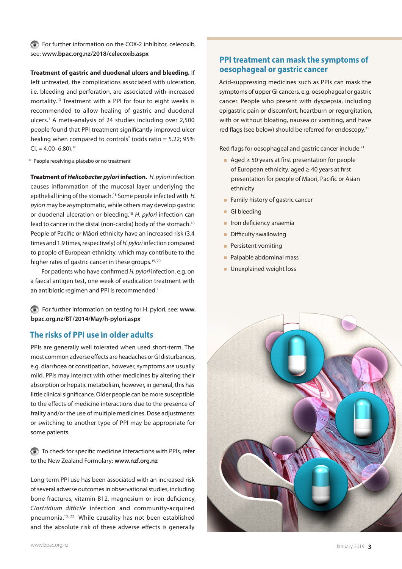For further information on the COX-2 inhibitor, celecoxib, see: **<www.bpac.org.nz/2018/celecoxib.aspx>**

**Treatment of gastric and duodenal ulcers and bleeding.** If

left untreated, the complications associated with ulceration, i.e. bleeding and perforation, are associated with increased mortality.13 Treatment with a PPI for four to eight weeks is recommended to allow healing of gastric and duodenal ulcers.1 A meta-analysis of 24 studies including over 2,500 people found that PPI treatment significantly improved ulcer healing when compared to controls<sup>\*</sup> (odds ratio =  $5.22$ ;  $95\%$  $CI = 4.00 - 6.80$ <sup>16</sup>

\* People receiving a placebo or no treatment

**Treatment of** *Helicobacter pylori* **infection.** *H. pylori* infection causes inflammation of the mucosal layer underlying the epithelial lining of the stomach.18 Some people infected with *H. pylori* may be asymptomatic, while others may develop gastric or duodenal ulceration or bleeding.18 *H. pylori* infection can lead to cancer in the distal (non-cardia) body of the stomach.<sup>18</sup> People of Pacific or Māori ethnicity have an increased risk (3.4 times and 1.9 times, respectively) of *H. pylori* infection compared to people of European ethnicity, which may contribute to the higher rates of gastric cancer in these groups.<sup>19, 20</sup>

For patients who have confirmed *H. pylori* infection, e.g. on a faecal antigen test, one week of eradication treatment with an antibiotic regimen and PPI is recommended.<sup>1</sup>

For further information on testing for H. pylori, see: **[www.](www.bpac.org.nz/BT/2014/May/h-pylori.aspx) [bpac.org.nz/BT/2014/May/h-pylori.aspx](www.bpac.org.nz/BT/2014/May/h-pylori.aspx)**

# **The risks of PPI use in older adults**

PPIs are generally well tolerated when used short-term. The most common adverse effects are headaches or GI disturbances, e.g. diarrhoea or constipation, however, symptoms are usually mild. PPIs may interact with other medicines by altering their absorption or hepatic metabolism, however, in general, this has little clinical significance. Older people can be more susceptible to the effects of medicine interactions due to the presence of frailty and/or the use of multiple medicines. Dose adjustments or switching to another type of PPI may be appropriate for some patients.

To check for specific medicine interactions with PPIs, refer to the New Zealand Formulary: **<www.nzf.org.nz>**

Long-term PPI use has been associated with an increased risk of several adverse outcomes in observational studies, including bone fractures, vitamin B12, magnesium or iron deficiency, *Clostridium difficile* infection and community-acquired pneumonia.13, 22 While causality has not been established and the absolute risk of these adverse effects is generally

## **PPI treatment can mask the symptoms of oesophageal or gastric cancer**

Acid-suppressing medicines such as PPIs can mask the symptoms of upper GI cancers, e.g. oesophageal or gastric cancer. People who present with dyspepsia, including epigastric pain or discomfort, heartburn or regurgitation, with or without bloating, nausea or vomiting, and have red flags (see below) should be referred for endoscopy.<sup>21</sup>

Red flags for oesophageal and gastric cancer include:<sup>21</sup>

- Aged ≥ 50 years at first presentation for people of European ethnicity; aged ≥ 40 years at first presentation for people of Māori, Pacific or Asian ethnicity
- **Family history of gastric cancer**
- GI bleeding
- **Iron deficiency anaemia**
- **Difficulty swallowing**
- **Persistent vomiting**
- **Palpable abdominal mass**
- **Unexplained weight loss**

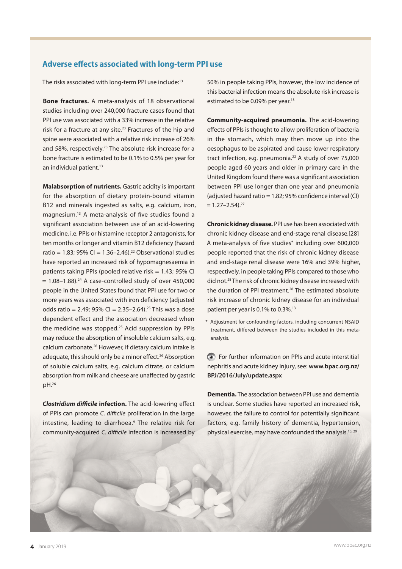## **Adverse effects associated with long-term PPI use**

The risks associated with long-term PPI use include:<sup>13</sup>

**Bone fractures.** A meta-analysis of 18 observational studies including over 240,000 fracture cases found that PPI use was associated with a 33% increase in the relative risk for a fracture at any site.<sup>23</sup> Fractures of the hip and spine were associated with a relative risk increase of 26% and 58%, respectively.<sup>23</sup> The absolute risk increase for a bone fracture is estimated to be 0.1% to 0.5% per year for an individual patient.<sup>13</sup>

**Malabsorption of nutrients.** Gastric acidity is important for the absorption of dietary protein-bound vitamin B12 and minerals ingested as salts, e.g. calcium, iron, magnesium.13 A meta-analysis of five studies found a significant association between use of an acid-lowering medicine, i.e. PPIs or histamine receptor 2 antagonists, for ten months or longer and vitamin B12 deficiency (hazard ratio =  $1.83$ ;  $95\%$  CI =  $1.36-2.46$ ).<sup>22</sup> Observational studies have reported an increased risk of hypomagnesaemia in patients taking PPIs (pooled relative risk  $= 1.43$ ; 95% CI  $= 1.08 - 1.88$ ).<sup>24</sup> A case-controlled study of over 450,000 people in the United States found that PPI use for two or more years was associated with iron deficiency (adjusted odds ratio = 2.49;  $95\%$  CI = 2.35-2.64).<sup>25</sup> This was a dose dependent effect and the association decreased when the medicine was stopped.<sup>25</sup> Acid suppression by PPIs may reduce the absorption of insoluble calcium salts, e.g. calcium carbonate.<sup>26</sup> However, if dietary calcium intake is adequate, this should only be a minor effect.<sup>26</sup> Absorption of soluble calcium salts, e.g. calcium citrate, or calcium absorption from milk and cheese are unaffected by gastric pH.26

*Clostridium difficile* **infection.** The acid-lowering effect of PPIs can promote *C. difficile* proliferation in the large intestine, leading to diarrhoea.<sup>9</sup> The relative risk for community-acquired *C. difficile* infection is increased by 50% in people taking PPIs, however, the low incidence of this bacterial infection means the absolute risk increase is estimated to be 0.09% per year.13

**Community-acquired pneumonia.** The acid-lowering effects of PPIs is thought to allow proliferation of bacteria in the stomach, which may then move up into the oesophagus to be aspirated and cause lower respiratory tract infection, e.g. pneumonia.22 A study of over 75,000 people aged 60 years and older in primary care in the United Kingdom found there was a significant association between PPI use longer than one year and pneumonia (adjusted hazard ratio =  $1.82$ ; 95% confidence interval (CI)  $= 1.27 - 2.54$ <sup>27</sup>

**Chronic kidney disease.** PPI use has been associated with chronic kidney disease and end-stage renal disease.[28] A meta-analysis of five studies\* including over 600,000 people reported that the risk of chronic kidney disease and end-stage renal disease were 16% and 39% higher, respectively, in people taking PPIs compared to those who did not.28 The risk of chronic kidney disease increased with the duration of PPI treatment.<sup>28</sup> The estimated absolute risk increase of chronic kidney disease for an individual patient per year is 0.1% to 0.3%.<sup>13</sup>

\* Adjustment for confounding factors, including concurrent NSAID treatment, differed between the studies included in this metaanalysis.

For further information on PPIs and acute interstitial nephritis and acute kidney injury, see: **[www.bpac.org.nz/](www.bpac.org.nz/BPJ/2016/July/update.aspx) [BPJ/2016/July/update.aspx](www.bpac.org.nz/BPJ/2016/July/update.aspx)**

**Dementia.** The association between PPI use and dementia is unclear. Some studies have reported an increased risk, however, the failure to control for potentially significant factors, e.g. family history of dementia, hypertension, physical exercise, may have confounded the analysis.<sup>13, 29</sup>

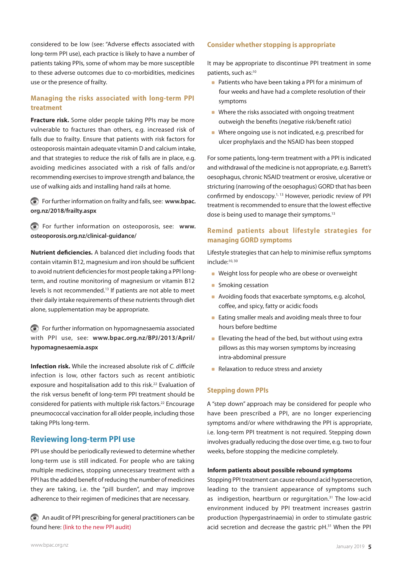considered to be low (see: "Adverse effects associated with long-term PPI use), each practice is likely to have a number of patients taking PPIs, some of whom may be more susceptible to these adverse outcomes due to co-morbidities, medicines use or the presence of frailty.

## **Managing the risks associated with long-term PPI treatment**

**Fracture risk.** Some older people taking PPIs may be more vulnerable to fractures than others, e.g. increased risk of falls due to frailty. Ensure that patients with risk factors for osteoporosis maintain adequate vitamin D and calcium intake, and that strategies to reduce the risk of falls are in place, e.g. avoiding medicines associated with a risk of falls and/or recommending exercises to improve strength and balance, the use of walking aids and installing hand rails at home.

For further information on frailty and falls, see: **[www.bpac.](www.bpac.org.nz/2018/frailty.aspx) [org.nz/2018/frailty.aspx](www.bpac.org.nz/2018/frailty.aspx)**

For further information on osteoporosis, see: **[www.](www.osteoporosis.org.nz/clinical-guidance/) [osteoporosis.org.nz/clinical-guidance/](www.osteoporosis.org.nz/clinical-guidance/)**

**Nutrient deficiencies.** A balanced diet including foods that contain vitamin B12, magnesium and iron should be sufficient to avoid nutrient deficiencies for most people taking a PPI longterm, and routine monitoring of magnesium or vitamin B12 levels is not recommended.13 If patients are not able to meet their daily intake requirements of these nutrients through diet alone, supplementation may be appropriate.

For further information on hypomagnesaemia associated with PPI use, see: **[www.bpac.org.nz/BPJ/2013/April/](www.bpac.org.nz/BPJ/2013/April/hypomagnesaemia.aspx ) [hypomagnesaemia.aspx](www.bpac.org.nz/BPJ/2013/April/hypomagnesaemia.aspx )**

**Infection risk.** While the increased absolute risk of *C. difficile* infection is low, other factors such as recent antibiotic exposure and hospitalisation add to this risk.<sup>22</sup> Evaluation of the risk versus benefit of long-term PPI treatment should be considered for patients with multiple risk factors.<sup>22</sup> Encourage pneumococcal vaccination for all older people, including those taking PPIs long-term.

## **Reviewing long-term PPI use**

PPI use should be periodically reviewed to determine whether long-term use is still indicated. For people who are taking multiple medicines, stopping unnecessary treatment with a PPI has the added benefit of reducing the number of medicines they are taking, i.e. the "pill burden", and may improve adherence to their regimen of medicines that are necessary.

An audit of PPI prescribing for general practitioners can be found here: (link to the new PPI audit)

#### **Consider whether stopping is appropriate**

It may be appropriate to discontinue PPI treatment in some patients, such as:10

- **Patients who have been taking a PPI for a minimum of** four weeks and have had a complete resolution of their symptoms
- Where the risks associated with ongoing treatment outweigh the benefits (negative risk/benefit ratio)
- Where ongoing use is not indicated, e.g. prescribed for ulcer prophylaxis and the NSAID has been stopped

For some patients, long-term treatment with a PPI is indicated and withdrawal of the medicine is not appropriate, e.g. Barrett's oesophagus, chronic NSAID treatment or erosive, ulcerative or stricturing (narrowing of the oesophagus) GORD that has been confirmed by endoscopy.<sup>1, 13</sup> However, periodic review of PPI treatment is recommended to ensure that the lowest effective dose is being used to manage their symptoms.<sup>13</sup>

## **Remind patients about lifestyle strategies for managing GORD symptoms**

Lifestyle strategies that can help to minimise reflux symptoms include:<sup>10, 30</sup>

- Weight loss for people who are obese or overweight
- **Smoking cessation**
- Avoiding foods that exacerbate symptoms, e.g. alcohol, coffee, and spicy, fatty or acidic foods
- **Eating smaller meals and avoiding meals three to four** hours before bedtime
- **Elevating the head of the bed, but without using extra** pillows as this may worsen symptoms by increasing intra-abdominal pressure
- Relaxation to reduce stress and anxiety

### **Stepping down PPIs**

A "step down" approach may be considered for people who have been prescribed a PPI, are no longer experiencing symptoms and/or where withdrawing the PPI is appropriate, i.e. long-term PPI treatment is not required. Stepping down involves gradually reducing the dose over time, e.g. two to four weeks, before stopping the medicine completely.

#### **Inform patients about possible rebound symptoms**

Stopping PPI treatment can cause rebound acid hypersecretion, leading to the transient appearance of symptoms such as indigestion, heartburn or regurgitation.<sup>31</sup> The low-acid environment induced by PPI treatment increases gastrin production (hypergastrinaemia) in order to stimulate gastric acid secretion and decrease the gastric pH.31 When the PPI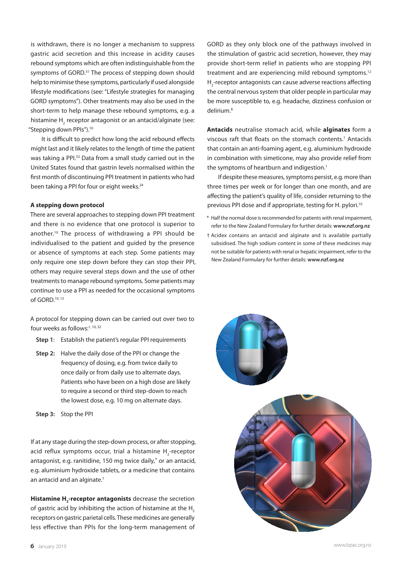is withdrawn, there is no longer a mechanism to suppress gastric acid secretion and this increase in acidity causes rebound symptoms which are often indistinguishable from the symptoms of GORD.<sup>31</sup> The process of stepping down should help to minimise these symptoms, particularly if used alongside lifestyle modifications (see: "Lifestyle strategies for managing GORD symptoms"). Other treatments may also be used in the short-term to help manage these rebound symptoms, e.g. a histamine  $H_2$  receptor antagonist or an antacid/alginate (see: "Stepping down PPIs").<sup>10</sup>

It is difficult to predict how long the acid rebound effects might last and it likely relates to the length of time the patient was taking a PPI.32 Data from a small study carried out in the United States found that gastrin levels normalised within the first month of discontinuing PPI treatment in patients who had been taking a PPI for four or eight weeks.<sup>24</sup>

#### **A stepping down protocol**

There are several approaches to stepping down PPI treatment and there is no evidence that one protocol is superior to another.10 The process of withdrawing a PPI should be individualised to the patient and guided by the presence or absence of symptoms at each step. Some patients may only require one step down before they can stop their PPI, others may require several steps down and the use of other treatments to manage rebound symptoms. Some patients may continue to use a PPI as needed for the occasional symptoms of GORD.<sup>10, 13</sup>

A protocol for stepping down can be carried out over two to four weeks as follows:1, 10, 32

- **Step 1**: Establish the patient's regular PPI requirements
- **Step 2:** Halve the daily dose of the PPI or change the frequency of dosing, e.g. from twice daily to once daily or from daily use to alternate days. Patients who have been on a high dose are likely to require a second or third step-down to reach the lowest dose, e.g. 10 mg on alternate days.
- **Step 3:** Stop the PPI

If at any stage during the step-down process, or after stopping, acid reflux symptoms occur, trial a histamine H<sub>2</sub>-receptor antagonist, e.g. ranitidine, 150 mg twice daily,\* or an antacid, e.g. aluminium hydroxide tablets, or a medicine that contains an antacid and an alginate.†

**Histamine H<sub>2</sub>-receptor antagonists** decrease the secretion of gastric acid by inhibiting the action of histamine at the  $H<sub>2</sub>$ receptors on gastric parietal cells. These medicines are generally less effective than PPIs for the long-term management of GORD as they only block one of the pathways involved in the stimulation of gastric acid secretion, however, they may provide short-term relief in patients who are stopping PPI treatment and are experiencing mild rebound symptoms.<sup>12</sup>  $H_2$ -receptor antagonists can cause adverse reactions affecting the central nervous system that older people in particular may be more susceptible to, e.g. headache, dizziness confusion or delirium<sup>8</sup>

**Antacids** neutralise stomach acid, while **alginates** form a viscous raft that floats on the stomach contents.<sup>1</sup> Antacids that contain an anti-foaming agent, e.g. aluminium hydroxide in combination with simeticone, may also provide relief from the symptoms of heartburn and indigestion.<sup>1</sup>

If despite these measures, symptoms persist, e.g. more than three times per week or for longer than one month, and are affecting the patient's quality of life, consider returning to the previous PPI dose and if appropriate, testing for H. pylori.<sup>10</sup>

- \* Half the normal dose is recommended for patients with renal impairment, refer to the New Zealand Formulary for further details: **www.nzf.org.nz**
- † Acidex contains an antacid and alginate and is available partially subsidised. The high sodium content in some of these medicines may not be suitable for patients with renal or hepatic impairment, refer to the New Zealand Formulary for further details: **www.nzf.org.nz**